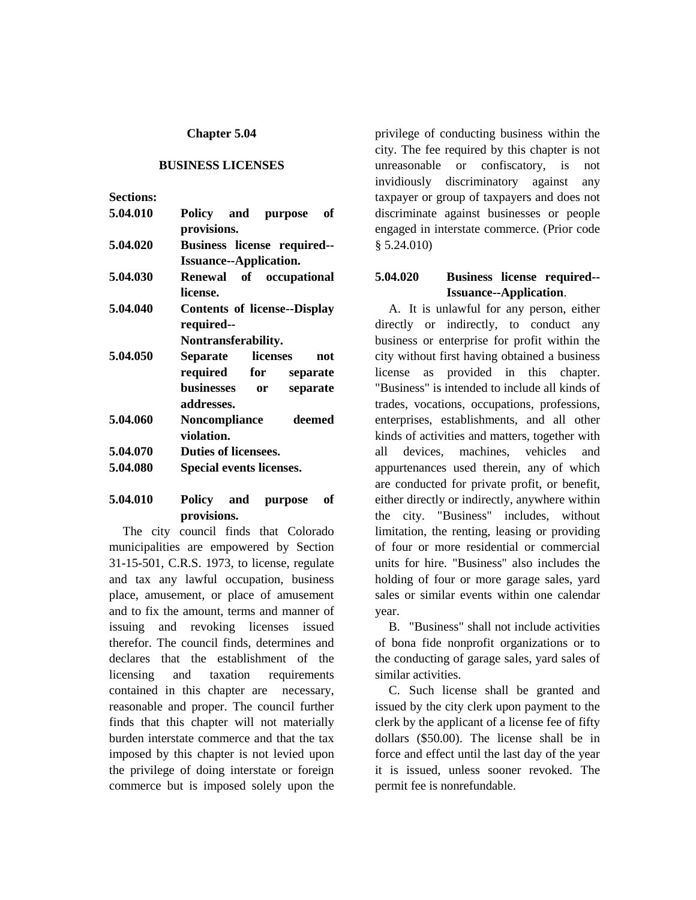#### **Chapter 5.04**

#### **BUSINESS LICENSES**

| <b>Sections:</b> |                                         |  |  |  |
|------------------|-----------------------------------------|--|--|--|
| 5.04.010         | Policy and purpose<br>of<br>provisions. |  |  |  |
| 5.04.020         | Business license required--             |  |  |  |
|                  | <b>Issuance--Application.</b>           |  |  |  |
| 5.04.030         | Renewal of occupational                 |  |  |  |
|                  | license.                                |  |  |  |
| 5.04.040         | <b>Contents of license--Display</b>     |  |  |  |
|                  | required--                              |  |  |  |
|                  | Nontransferability.                     |  |  |  |
| 5.04.050         | Separate<br>licenses<br>not             |  |  |  |
|                  | required for<br>separate                |  |  |  |
|                  | businesses<br>separate<br>or            |  |  |  |
|                  | addresses.                              |  |  |  |
| 5.04.060         | Noncompliance<br>deemed                 |  |  |  |
|                  | violation.                              |  |  |  |
| 5.04.070         | <b>Duties of licensees.</b>             |  |  |  |
| 5.04.080         | Special events licenses.                |  |  |  |
|                  |                                         |  |  |  |

### **5.04.010 Policy and purpose of provisions.**

The city council finds that Colorado municipalities are empowered by Section 31-15-501, C.R.S. 1973, to license, regulate and tax any lawful occupation, business place, amusement, or place of amusement and to fix the amount, terms and manner of issuing and revoking licenses issued therefor. The council finds, determines and declares that the establishment of the licensing and taxation requirements contained in this chapter are necessary, reasonable and proper. The council further finds that this chapter will not materially burden interstate commerce and that the tax imposed by this chapter is not levied upon the privilege of doing interstate or foreign commerce but is imposed solely upon the

privilege of conducting business within the city. The fee required by this chapter is not unreasonable or confiscatory, is not invidiously discriminatory against any taxpayer or group of taxpayers and does not discriminate against businesses or people engaged in interstate commerce. (Prior code § 5.24.010)

#### **5.04.020 Business license required-- Issuance--Application**.

A. It is unlawful for any person, either directly or indirectly, to conduct any business or enterprise for profit within the city without first having obtained a business license as provided in this chapter. "Business" is intended to include all kinds of trades, vocations, occupations, professions, enterprises, establishments, and all other kinds of activities and matters, together with all devices, machines, vehicles and appurtenances used therein, any of which are conducted for private profit, or benefit, either directly or indirectly, anywhere within the city. "Business" includes, without limitation, the renting, leasing or providing of four or more residential or commercial units for hire. "Business" also includes the holding of four or more garage sales, yard sales or similar events within one calendar year.

B. "Business" shall not include activities of bona fide nonprofit organizations or to the conducting of garage sales, yard sales of similar activities.

C. Such license shall be granted and issued by the city clerk upon payment to the clerk by the applicant of a license fee of fifty dollars (\$50.00). The license shall be in force and effect until the last day of the year it is issued, unless sooner revoked. The permit fee is nonrefundable.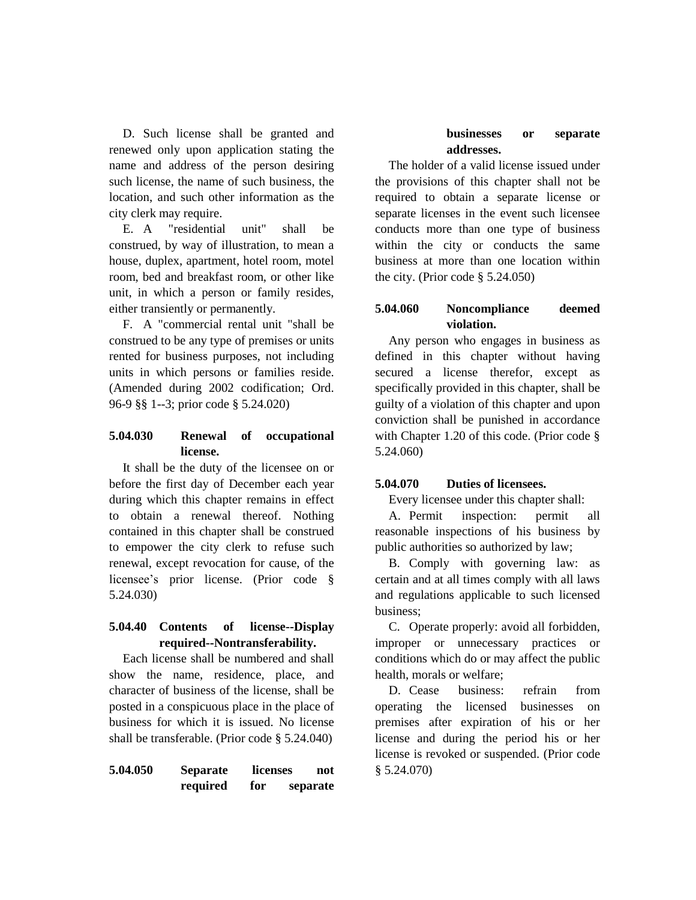D. Such license shall be granted and renewed only upon application stating the name and address of the person desiring such license, the name of such business, the location, and such other information as the city clerk may require.

E. A "residential unit" shall be construed, by way of illustration, to mean a house, duplex, apartment, hotel room, motel room, bed and breakfast room, or other like unit, in which a person or family resides, either transiently or permanently.

F. A "commercial rental unit "shall be construed to be any type of premises or units rented for business purposes, not including units in which persons or families reside. (Amended during 2002 codification; Ord. 96-9 §§ 1--3; prior code § 5.24.020)

# **5.04.030 Renewal of occupational license.**

It shall be the duty of the licensee on or before the first day of December each year during which this chapter remains in effect to obtain a renewal thereof. Nothing contained in this chapter shall be construed to empower the city clerk to refuse such renewal, except revocation for cause, of the licensee's prior license. (Prior code § 5.24.030)

### **5.04.40 Contents of license--Display required--Nontransferability.**

Each license shall be numbered and shall show the name, residence, place, and character of business of the license, shall be posted in a conspicuous place in the place of business for which it is issued. No license shall be transferable. (Prior code § 5.24.040)

| 5.04.050 | <b>Separate</b> | licenses |  | not      |
|----------|-----------------|----------|--|----------|
|          | required        | for      |  | separate |

#### **businesses or separate addresses.**

The holder of a valid license issued under the provisions of this chapter shall not be required to obtain a separate license or separate licenses in the event such licensee conducts more than one type of business within the city or conducts the same business at more than one location within the city. (Prior code § 5.24.050)

# **5.04.060 Noncompliance deemed violation.**

Any person who engages in business as defined in this chapter without having secured a license therefor, except as specifically provided in this chapter, shall be guilty of a violation of this chapter and upon conviction shall be punished in accordance with Chapter 1.20 of this code. (Prior code § 5.24.060)

### **5.04.070 Duties of licensees.**

Every licensee under this chapter shall:

A. Permit inspection: permit all reasonable inspections of his business by public authorities so authorized by law;

B. Comply with governing law: as certain and at all times comply with all laws and regulations applicable to such licensed business;

C. Operate properly: avoid all forbidden, improper or unnecessary practices or conditions which do or may affect the public health, morals or welfare;

D. Cease business: refrain from operating the licensed businesses on premises after expiration of his or her license and during the period his or her license is revoked or suspended. (Prior code § 5.24.070)